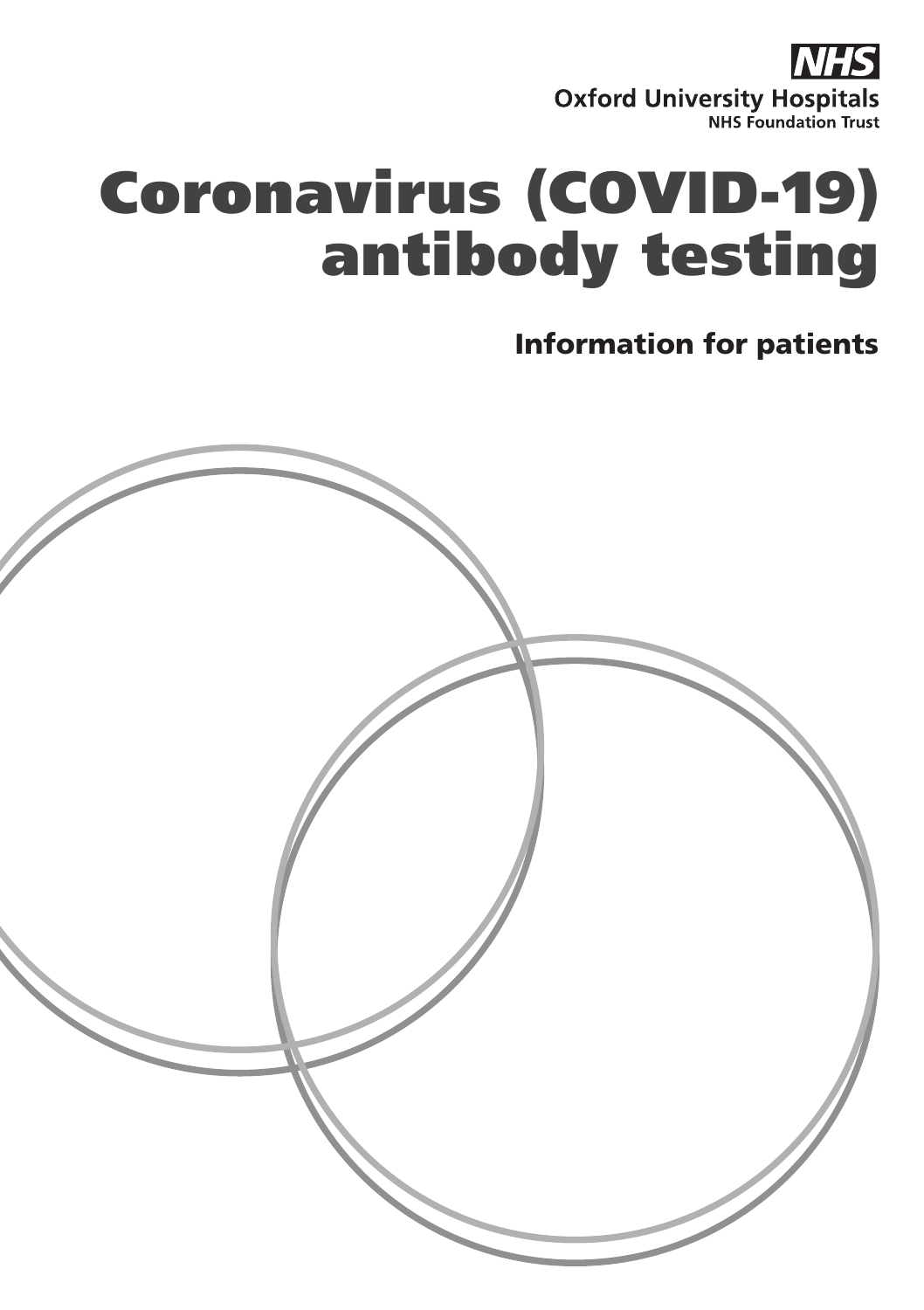

# Coronavirus (COVID-19) antibody testing

#### Information for patients

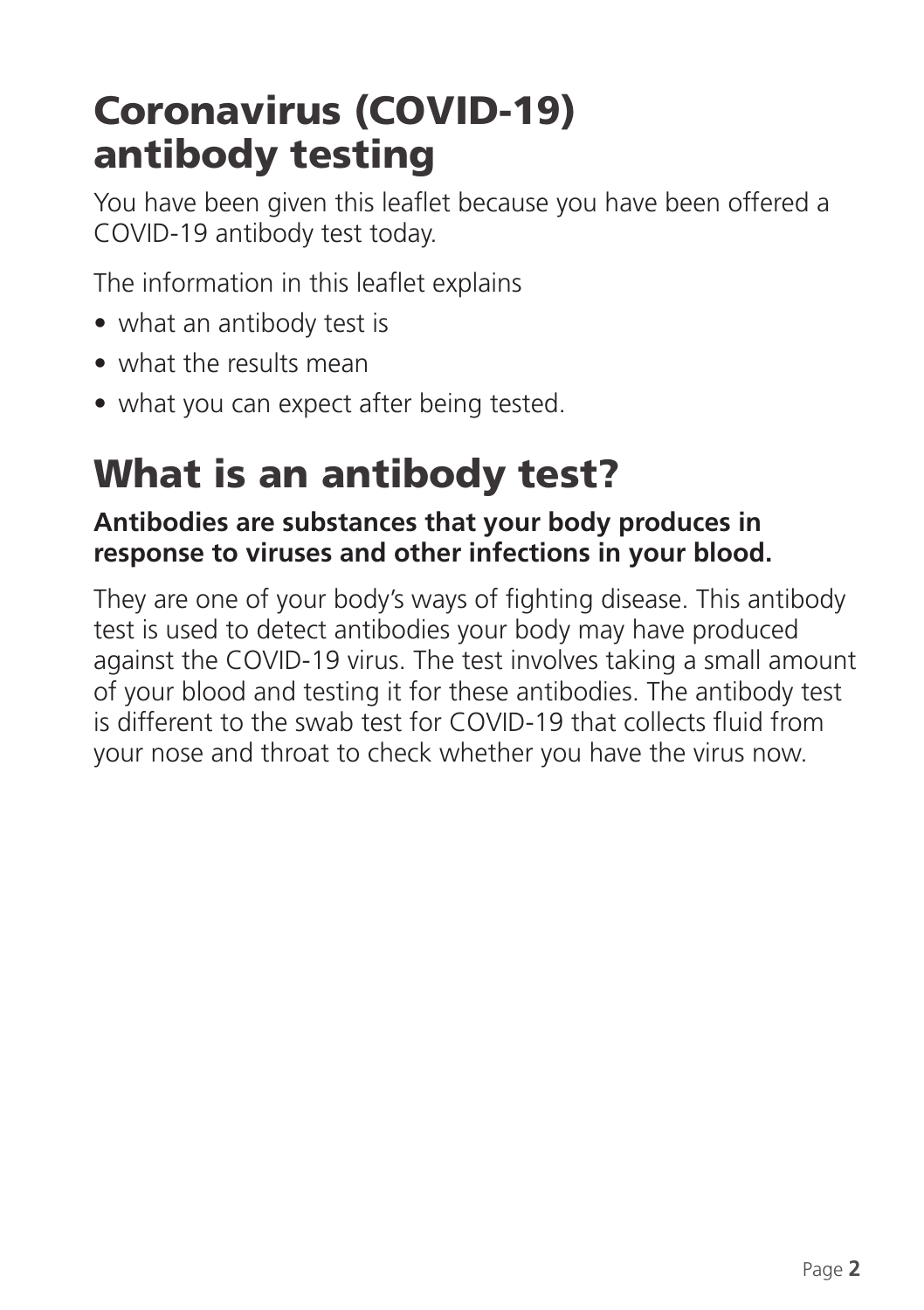## Coronavirus (COVID-19) antibody testing

You have been given this leaflet because you have been offered a COVID-19 antibody test today.

The information in this leaflet explains

- what an antibody test is
- what the results mean
- what you can expect after being tested.

## What is an antibody test?

#### **Antibodies are substances that your body produces in response to viruses and other infections in your blood.**

They are one of your body's ways of fighting disease. This antibody test is used to detect antibodies your body may have produced against the COVID-19 virus. The test involves taking a small amount of your blood and testing it for these antibodies. The antibody test is different to the swab test for COVID-19 that collects fluid from your nose and throat to check whether you have the virus now.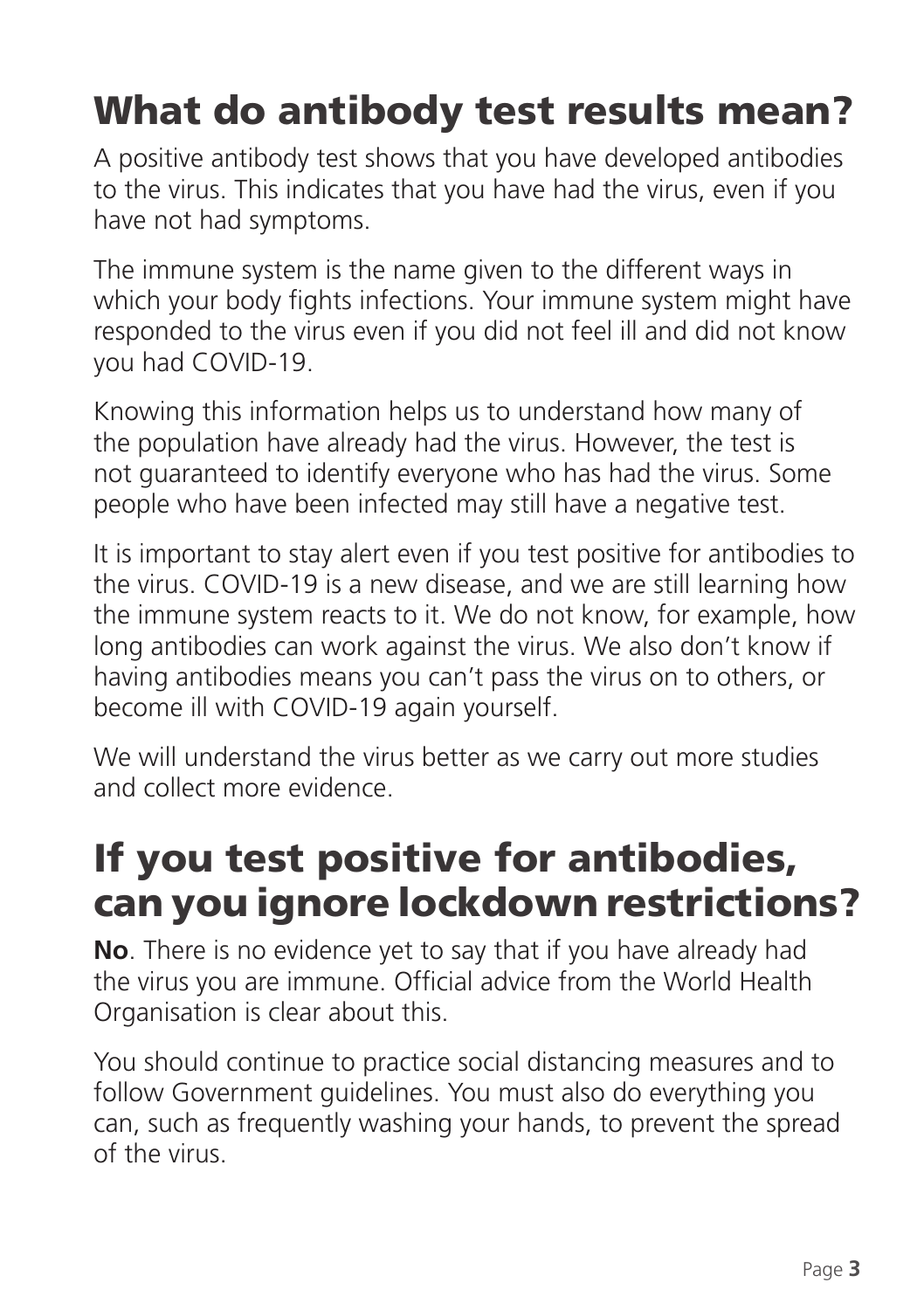## What do antibody test results mean?

A positive antibody test shows that you have developed antibodies to the virus. This indicates that you have had the virus, even if you have not had symptoms.

The immune system is the name given to the different ways in which your body fights infections. Your immune system might have responded to the virus even if you did not feel ill and did not know you had COVID-19.

Knowing this information helps us to understand how many of the population have already had the virus. However, the test is not guaranteed to identify everyone who has had the virus. Some people who have been infected may still have a negative test.

It is important to stay alert even if you test positive for antibodies to the virus. COVID-19 is a new disease, and we are still learning how the immune system reacts to it. We do not know, for example, how long antibodies can work against the virus. We also don't know if having antibodies means you can't pass the virus on to others, or become ill with COVID-19 again yourself.

We will understand the virus better as we carry out more studies and collect more evidence.

## If you test positive for antibodies, can you ignore lockdown restrictions?

**No**. There is no evidence yet to say that if you have already had the virus you are immune. Official advice from the World Health Organisation is clear about this.

You should continue to practice social distancing measures and to follow Government guidelines. You must also do everything you can, such as frequently washing your hands, to prevent the spread of the virus.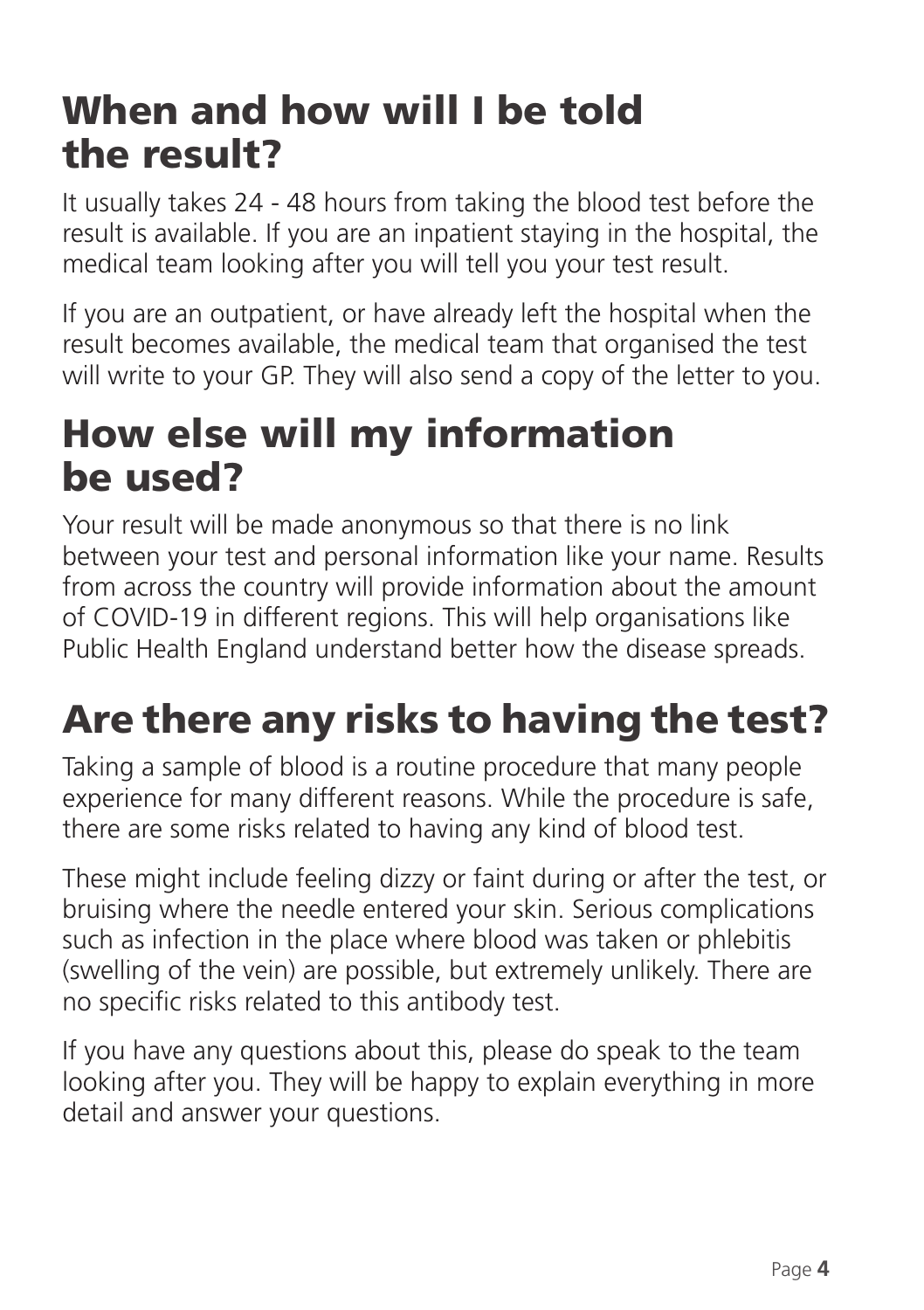## When and how will I be told the result?

It usually takes 24 - 48 hours from taking the blood test before the result is available. If you are an inpatient staying in the hospital, the medical team looking after you will tell you your test result.

If you are an outpatient, or have already left the hospital when the result becomes available, the medical team that organised the test will write to your GP. They will also send a copy of the letter to you.

### How else will my information be used?

Your result will be made anonymous so that there is no link between your test and personal information like your name. Results from across the country will provide information about the amount of COVID-19 in different regions. This will help organisations like Public Health England understand better how the disease spreads.

## Are there any risks to having the test?

Taking a sample of blood is a routine procedure that many people experience for many different reasons. While the procedure is safe, there are some risks related to having any kind of blood test.

These might include feeling dizzy or faint during or after the test, or bruising where the needle entered your skin. Serious complications such as infection in the place where blood was taken or phlebitis (swelling of the vein) are possible, but extremely unlikely. There are no specific risks related to this antibody test.

If you have any questions about this, please do speak to the team looking after you. They will be happy to explain everything in more detail and answer your questions.